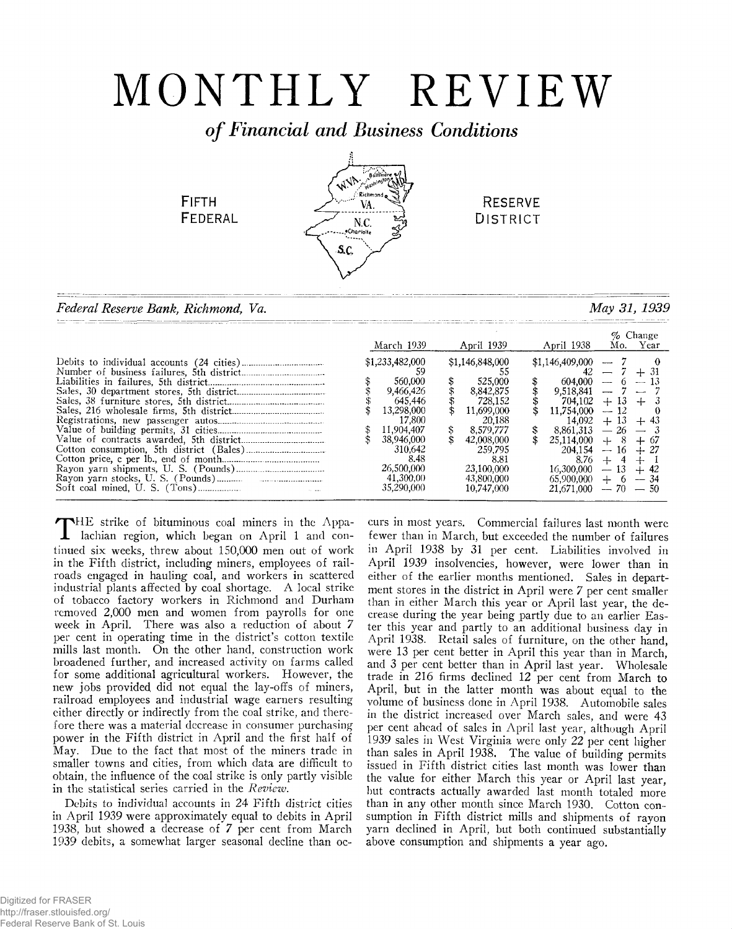# MONTHLY REVIEW

*o f Financial and Business Conditions*

**FIFTH FEDERAL** 



**RESERVE DISTRICT** 

*Federal Reserve Bank, Richmond, Va. May 31, 1939*

|  |                                                                                                                                                                    |                                                                                                                                                                           |                                                                                                                                                          |                   | % Change |
|--|--------------------------------------------------------------------------------------------------------------------------------------------------------------------|---------------------------------------------------------------------------------------------------------------------------------------------------------------------------|----------------------------------------------------------------------------------------------------------------------------------------------------------|-------------------|----------|
|  | March 1939                                                                                                                                                         | April 1939                                                                                                                                                                | April 1938                                                                                                                                               | Mo.               | Year     |
|  | \$1,233,482,000<br>560,000<br>9.466,426<br>645.446<br>13.298.000<br>17.800<br>11,904,407<br>38.946.000<br>310.642<br>8.48<br>26.500.000<br>41.300.00<br>35.290,000 | \$<br>\$1,146,848,000<br>525,000<br>8.842.875<br>728.152<br>11.699.000<br>20.188<br>8.579.777<br>-42.008.000<br>259.795<br>8.81<br>23.100.000<br>43.800.000<br>10.747.000 | \$1,146,409,000<br>604.000<br>9.518.841<br>704.102<br>11.754.000<br>14.092<br>8.861.313<br>14 OOD<br>25.1<br>204.154<br>16.300.000<br>65.900.000<br>-000 | 13<br>$-16$<br>-- | -50      |
|  |                                                                                                                                                                    |                                                                                                                                                                           |                                                                                                                                                          |                   |          |

THE strike of bituminous coal miners in the Appalachian region, which began on April 1 and con-HE strike of bituminous coal miners in the Appatinued six weeks, threw about 150,000 men out of work in the Fifth district, including miners, employees of railroads engaged in hauling coal, and workers in scattered industrial plants affected by coal shortage. A local strike of tobacco factory workers in Richmond and Durham removed 2,000 men and women from payrolls for one week in April. There was also a reduction of about *7* per cent in operating time in the district's cotton textile mills last month. On the other hand, construction work broadened further, and increased activity on farms called for some additional agricultural workers. However, the new jobs provided did not equal the lay-offs of miners, railroad employees and industrial wage earners resulting either directly or indirectly from the coal strike, and therefore there was a material decrease in consumer purchasing power in the Fifth district in April and the first half of May. Due to the fact that most of the miners trade in smaller towns and cities, from which data are difficult to obtain, the influence of the coal strike is only partly visible in the statistical series carried in the *Reviezv.*

Debits to individual accounts in 24 Fifth district cities in April 1939 were approximately equal to debits in April 1938, but showed a decrease of *7* per cent from March 1939 debits, a somewhat larger seasonal decline than oc-

curs in most years. Commercial failures last month were fewer than in March, but exceeded the number of failures in April 1938 by 31 per cent. Liabilities involved in April 1939 insolvencies, however, were lower than in either of the earlier months mentioned. Sales in department stores in the district in April were *7* per cent smaller than in either March this year or April last year, the decrease during the year being partly due to an earlier Easter this year and partly to an additional business day in April 1938. Retail sales of furniture, on the other hand, were 13 per cent better in April this year than in March, and 3 per cent better than in April last year. Wholesale trade in 216 firms declined 12 per cent from March to April, but in the latter month was about equal to the volume of business done in April 1938. Automobile sales in the district increased over March sales, and were 43 per cent ahead of sales in April last year, although April 1939 sales in West Virginia were only 22 per cent higher than sales in April 1938. The value of building permits issued in Fifth district cities last month was lower than the value for either March this year or April last year, but contracts actually awarded last month totaled more than in any other month since March 1930. Cotton consumption in Fifth district mills and shipments of rayon yarn declined in April, but both continued substantially above consumption and shipments a year ago.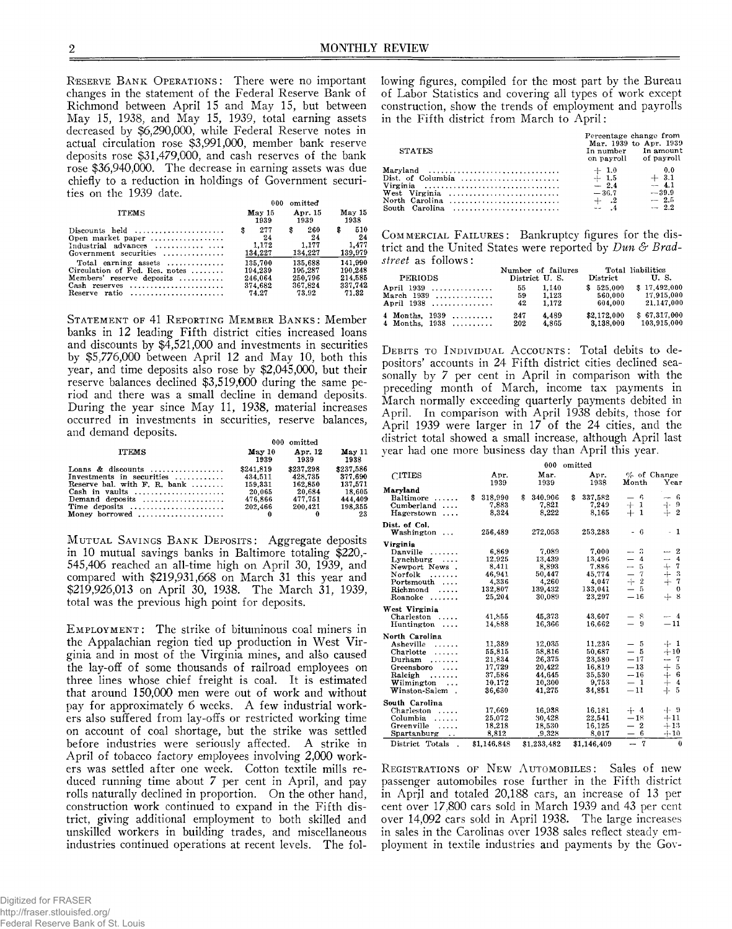**RESERVE BANK OPERATIONS:** There were no important changes in the statement of the Federal Reserve Bank of Richmond between April 15 and May 15, but between May 15, 1938, and May 15, 1939, total earning assets decreased by \$6,290,000, while Federal Reserve notes in actual circulation rose \$3,991,000, member bank reserve deposits rose \$31,479,000, and cash reserves of the bank rose \$36,940,000. The decrease in earning assets was due chiefly to a reduction in holdings of Government securities on the 1939 date.

|                                                                                                                                                       | 000                                 | omitted                             |                                      |
|-------------------------------------------------------------------------------------------------------------------------------------------------------|-------------------------------------|-------------------------------------|--------------------------------------|
| <b>ITEMS</b>                                                                                                                                          | May 15                              | Apr. 15                             | May 15                               |
|                                                                                                                                                       | 1939                                | 1939                                | 1938                                 |
| Discounts held $\ldots, \ldots, \ldots, \ldots$<br>Open market paper $\dots\dots\dots\dots\dots\dots$<br>Industrial advances<br>Government securities | 277<br>\$<br>24<br>1.172<br>134,227 | 260<br>\$<br>24<br>1.177<br>134.227 | 510<br>\$.<br>24<br>1.477<br>139,979 |
| Total earning assets                                                                                                                                  | 135.700                             | 135.688                             | 141.990                              |
| Circulation of Fed. Res. notes                                                                                                                        | 194.239                             | 195.287                             | 190.248                              |
| Members' reserve deposits                                                                                                                             | 246.064                             | 250.796                             | 214.585                              |
| Cash reserves                                                                                                                                         | 374.682                             | 367.824                             | 337.742                              |
| Reserve ratio $\ldots, \ldots, \ldots, \ldots, \ldots$                                                                                                | 74.27                               | 73.92                               | 71.32                                |

STATEMENT OF 41 REPORTING MEMBER BANKS: Member banks in 12 leading Fifth district cities increased loans and discounts by \$4,521,000 and investments in securities by \$5,776,000 between April 12 and May 10, both this year, and time deposits also rose by \$2,045,000, but their reserve balances declined \$3,519,000 during the same period and there was a small decline in demand deposits. During the year since May 11, 1938, material increases occurred in investments in securities, reserve balances, and demand deposits.

|                                                                                                                                                                                 | 000 omitted                                                     |                                                                 |                                                                       |  |
|---------------------------------------------------------------------------------------------------------------------------------------------------------------------------------|-----------------------------------------------------------------|-----------------------------------------------------------------|-----------------------------------------------------------------------|--|
| <b>ITEMS</b>                                                                                                                                                                    | May 10<br>1939                                                  | Apr. 12<br>1939                                                 | May 11<br>1938                                                        |  |
| Loans & discounts<br>Investments in securities<br>Reserve bal. with F. R. bank<br>Demand deposits<br>Time deposits $\dots\dots\dots\dots\dots\dots\dots\dots$<br>Money borrowed | \$241.819<br>434.511<br>159.331<br>20.065<br>476.866<br>202.466 | \$237,298<br>428.735<br>162.850<br>20.684<br>477.751<br>200.421 | \$237,586<br>377.690<br>137.571<br>18.605<br>444.409<br>198.355<br>23 |  |

**MUTUAL SAVINGS BANK DEPOSITS: Aggregate deposits** in 10 mutual savings banks in Baltimore totaling \$220,- 545,406 reached an all-time high on April 30, 1939, and compared with \$219,931,668 on March 31 this year and \$219,926,013 on April 30, 1938. The March 31, 1939, total was the previous high point for deposits.

EMPLOYMENT: The strike of bituminous coal miners in the Appalachian region tied up production in West Virginia and in most of the Virginia mines, and also caused the lay-off of some thousands of railroad employees on three lines whose chief freight is coal. It is estimated that around 150,000 men were out of work and without pay for approximately 6 weeks. A few industrial workers also suffered from lay-offs or restricted working time on account of coal shortage, but the strike was settled before industries were seriously affected. A strike in April of tobacco factory employees involving 2,000 workers was settled after one week. Cotton textile mills reduced running time about 7 per cent in April, and pay rolls naturally declined in proportion. On the other hand, construction work continued to expand in the Fifth district, giving additional employment to both skilled and unskilled workers in building trades, and miscellaneous industries continued operations at recent levels. The fol-

Digitized for FRASER http://fraser.stlouisfed.org/ Federal Reserve Bank of St. Louis lowing figures, compiled for the most part by the Bureau of Labor Statistics and covering all types of work except construction, show the trends of employment and payrolls in the Fifth district from March to April:

| <b>STATES</b>                                                                                                                                   | Percentage change from<br>Mar. 1939 to Apr. 1939<br>In number In amount<br>on payroll | of payroll                                              |
|-------------------------------------------------------------------------------------------------------------------------------------------------|---------------------------------------------------------------------------------------|---------------------------------------------------------|
| Maryland<br>Dist. of Columbia $\ldots, \ldots, \ldots, \ldots, \ldots, \ldots$<br>Virginia<br>West Virginia<br>North Carolina<br>South Carolina | $+1.0$<br>$+ 1.5$<br>$-2.4$<br>$-36.7$<br>$\pm$ $\frac{2}{4}$                         | 0.0<br>$+3.1$<br>$-4.1$<br>$-.39.9$<br>$-2.5$<br>$-2.2$ |

**COMMERCIAL FAILURES:** Bankruptcy figures for the district and the United States were reported by *Dun & Bradstreet* as follows:

| <b>PERIODS</b>     | District U.S. | Number of failures | $\bf District$ | Total liabilities<br>U.S. |
|--------------------|---------------|--------------------|----------------|---------------------------|
| April 1939         | 55            | 1.140              | \$525,000      | \$17.492.000              |
| March $1939$       | 59            | 1.123              | 560,000        | 17.915,000                |
| April 1938         | 42            | 1.172              | 604.000        | 21,147,000                |
| 4 Months, $1939$ , | 247           | 4.489              | \$2,172,000    | \$67.317.000              |
| 4 Months. 1938     | 202           | 4.865              | 3.138.000      | 103.915.000               |

**DEBITS TO INDIVIDUAL ACCOUNTS: Total debits to de**positors' accounts in 24 Fifth district cities declined seasonally by 7 per cent in April in comparison with the preceding month of March, income tax payments in March normally exceeding quarterly payments debited in April. In comparison with April 1938 debits, those for April 1939 were larger in 17 of the 24 cities, and the district total showed a small increase, although April last year had one more business day than April this year.

|                                                                                                                                                        |                                                                    | 000                                                                | omitted                                                           |                                                                                                                                                               |                                                                                                                                               |
|--------------------------------------------------------------------------------------------------------------------------------------------------------|--------------------------------------------------------------------|--------------------------------------------------------------------|-------------------------------------------------------------------|---------------------------------------------------------------------------------------------------------------------------------------------------------------|-----------------------------------------------------------------------------------------------------------------------------------------------|
| <b>CITIES</b>                                                                                                                                          | Apr.<br>1939                                                       | Mar.<br>1939                                                       | Apr.<br>1938                                                      | Month                                                                                                                                                         | $%$ of Change<br>Year                                                                                                                         |
| Marvland<br>Baltimore<br>.<br>$Cumberland \dots$<br>Hagerstown<br>$\cdots$                                                                             | \$<br>318,990<br>7.883<br>8.324                                    | \$<br>340,906<br>7,821<br>8,222                                    | S<br>337,582<br>7.249<br>8.165                                    | $-6$<br>$rac{1}{+}$ 1                                                                                                                                         | $-6$<br>$-1 - 9$<br>$\mathbf{2}$<br>$+$                                                                                                       |
| Dist. of Col.<br>Washington                                                                                                                            | 256,489                                                            | 272,053                                                            | 253,283                                                           | - 6                                                                                                                                                           | $-1$                                                                                                                                          |
| Virginia<br>Danville<br>.<br>$Lynchburg \ldots$<br>Newport News.<br>Norfolk<br>.<br>Portsmouth<br>Richmond<br>.<br>$Roanoke \ldots \ldots$             | 6.869<br>12.925<br>8.411<br>46,941<br>4.336<br>132,807<br>25,204   | 7,089<br>13,439<br>8.893<br>50.447<br>4.260<br>139,432<br>30,089   | 7,000<br>13.496<br>7.886<br>45,774<br>4.047<br>133,041<br>23,297  | $-$ 3<br>4<br>$\overline{\phantom{0}}$<br>$-5$<br>$\overline{7}$<br>$\overline{\phantom{0}}$<br>$\mathbf{2}$<br>÷<br>- 5<br>$\overline{\phantom{0}}$<br>$-16$ | $-2$<br>$\overline{4}$<br>$\overline{\phantom{a}}$<br>$+7$<br>$\boldsymbol{\mathcal{S}}$<br>$+$<br>$\overline{\tau}$<br>$\theta$<br>-8<br>$+$ |
| West Virginia<br>Charleston<br>Huntington<br>.                                                                                                         | 41.855<br>14.888                                                   | 45.373<br>16.366                                                   | 43.607<br>16.662                                                  | -8<br>$\equiv$<br>9                                                                                                                                           | $-4$<br>$-11$                                                                                                                                 |
| North Carolina<br>Asheville<br>.<br>Charlotte<br>.<br>Durham<br>.<br>Greensboro<br>$\cdots$<br>Raleigh<br>.<br>Wilmington<br>$\cdots$<br>Winston-Salem | 11,389<br>55,815<br>21,834<br>17,729<br>37,586<br>10,172<br>36,630 | 12.035<br>58,816<br>26,375<br>20,422<br>44,645<br>10,300<br>41.275 | 11.236<br>50,687<br>23,580<br>16.819<br>35,530<br>9.753<br>34,851 | — 5<br>$-5$<br>$-17$<br>$-13$<br>$-16$<br>$-1$<br>$-11$                                                                                                       | -1- 1<br>$+10$<br>- 7<br>-5<br>$+$<br>$+$ 6<br>$+4$<br>5<br>$+$                                                                               |
| South Carolina<br>Charleston<br>.<br>Columbia<br>.<br>Greenville<br>.<br>Spartanburg<br>$\ddot{\phantom{1}}$                                           | 17,669<br>25,072<br>18.218<br>8,812                                | 16,938<br>30,428<br>18,530<br>,9,328                               | 16,181<br>22,541<br>16.125<br>8,017                               | $+ 4$<br>$-18$<br>$-2$<br>$-6$                                                                                                                                | -4-9<br>$+11$<br>$+13$<br>$+10$                                                                                                               |
| District Totals<br>$\overline{a}$                                                                                                                      | \$1,146,848                                                        | \$1,233,482                                                        | \$1,146,409                                                       | $-7$                                                                                                                                                          | $\bf{0}$                                                                                                                                      |

**REGISTRATIONS OF NEW AUTOMOBILES:** Sales of new passenger automobiles rose further in the Fifth district in April and totaled 20,188 cars, an increase of 13 per cent over 17,800 cars sold in March 1939 and 43 per cent over 14,092 cars sold in April 1938. The large increases in sales in the Carolinas over 1938 sales reflect steady employment in textile industries and payments by the Gov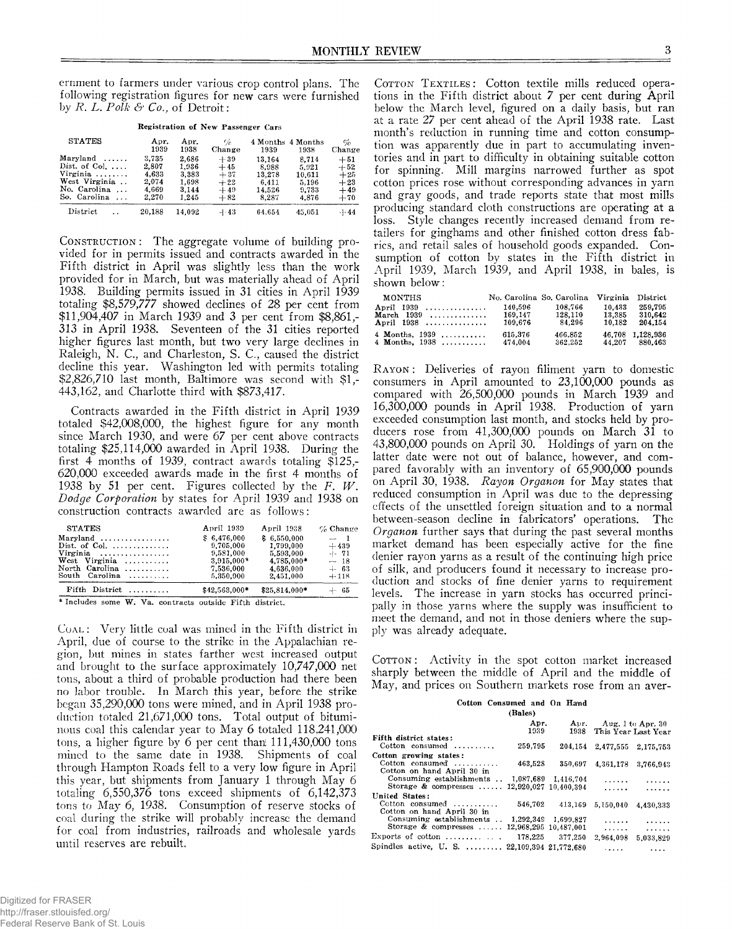ernment to farmers under various crop control plans. The following registration figures for new cars were furnished by *R. L* . *Polk & Co.,* of Detroit:

| Registration of New Passenger Cars                                                                                                |                                                    |                                                    |                                                    |                                                       |                                                     |                                                    |
|-----------------------------------------------------------------------------------------------------------------------------------|----------------------------------------------------|----------------------------------------------------|----------------------------------------------------|-------------------------------------------------------|-----------------------------------------------------|----------------------------------------------------|
| <b>STATES</b>                                                                                                                     | Apr.<br>1939                                       | Apr.<br>1938                                       | %<br>Change                                        | 1939                                                  | 4 Months 4 Months<br>1938                           | %<br>Change                                        |
| $Maryland \ldots$ .<br>Dist. of Col. $\dots$<br>Virginia<br>West Virginia<br>No. Carolina<br>$\cdots$<br>So. Carolina<br>$\cdots$ | 3.735<br>2.807<br>4,633<br>2.074<br>4.669<br>2.270 | 2.686<br>1.936<br>3.383<br>1,698<br>3.144<br>1.245 | $+39$<br>$+45$<br>$+37$<br>$+22$<br>$+49$<br>$+82$ | 13.164<br>8,988<br>13.278<br>6.411<br>14.526<br>8.287 | 8.714<br>5.921<br>10.611<br>5.196<br>9.733<br>4.876 | $+51$<br>$+52$<br>$+25$<br>$+23$<br>$+49$<br>$+70$ |
| District                                                                                                                          | 20,188                                             | 14.092                                             | $-1.43$                                            | 64.654                                                | 45,051                                              | $-1 - 44$                                          |

**CONSTRUCTION:** The aggregate volume of building provided for in permits issued and contracts awarded in the Fifth district in April was slightly less than the work provided for in March, but was materially ahead of April 1938. Building permits issued in 31 cities in April 1939 totaling \$8,579,777 showed declines of 28 per cent from \$11,904,407 in March 1939 and 3 per cent from \$8,861,- 313 in April 1938. Seventeen of the 31 cities reported higher figures last month, but two very large declines in Raleigh, N. C., and Charleston, S. C., caused the district decline this year. Washington led with permits totaling \$2,826,710 last month, Baltimore was second with \$1,- 443,162, and Charlotte third with \$873,417.

Contracts awarded in the Fifth district in April 1939 totaled \$42,008,000, the highest figure for any month since March 1930, and were 67 per cent above contracts totaling \$25,114,000 awarded in April 1938. During the first 4 months of 1939, contract awards totaling \$125,- 620,000 exceeded awards made in the first 4 months of 1938 by 51 per cent. Figures collected by the *F. W. Dodge Corporation* by states for April 1939 and 1938 on construction contracts awarded are as follows:

| $Fifth$ District                       | \$42,563,000* | \$25.814.000* | $+ 65$     |
|----------------------------------------|---------------|---------------|------------|
| South Carolina                         | 5,350,000     | 2.451.000     | $+118$     |
| North Carolina                         | 7.536,000     | 4.636.000     | $-1$ 63    |
| West Virginia $\ldots$                 | $3.915.000*$  | 4,785,000*    | $-18$      |
| Virginia $\ldots \ldots \ldots \ldots$ | 9.581.000     | 5,593,000     | $-1 - 71$  |
| Dist. of Col. $\ldots \ldots \ldots$   | 9.705.000     | 1.799.000     | $+439$     |
|                                        | \$6,476,000   | \$6,550,000   | $-1$       |
| <b>STATES</b>                          | April 1939    | April 1938    | $%$ Change |

**\* Includes some W . Va, contracts outside Fifth district.**

COAL: Very little coal was mined in the Fifth district in April, due of course to the strike in the Appalachian region, but mines in states farther west increased output and brought to the surface approximately 10,747,000 net tons, about a third of probable production had there been no labor trouble. In March this year, before the strike began 35,290,000 tons were mined, and in April 1938 production totaled 21,671,000 tons. Total output of bituminous coal this calendar year to May 6 totaled 118,241,000 tons, a higher figure by 6 per cent than 111,430,000 tons mined to the same date in 1938. Shipments of coal through Hampton Roads fell to a very low figure in April this year, but shipments from January 1 through May 6 totaling 6,550,376 tons exceed shipments of 6,142,373 tons to May 6, 1938. Consumption of reserve stocks of coal during the strike will probably increase the demand for coal from industries, railroads and wholesale yards until reserves are rebuilt.

COTTON TEXTILES: Cotton textile mills reduced operations in the Fifth district about 7 per cent during April below the March level, figured on a daily basis, but ran at a rate 27 per cent ahead of the April 1938 rate. Last month's reduction in running time and cotton consumption was apparently due in part to accumulating inventories and in part to difficulty in obtaining suitable cotton for spinning. Mill margins narrowed further as spot cotton prices rose without corresponding advances in yarn and gray goods, and trade reports state that most mills producing standard cloth constructions are operating at a loss. Style changes recently increased demand from retailers for ginghams and other finished cotton dress fabrics, and retail sales of household goods expanded. Consumption of cotton by states in the Fifth district in April 1939, March 1939, and April 1938, in bales, is shown below:

| <b>MONTHS</b>    | No. Carolina So. Carolina |         |        | Virginia District |
|------------------|---------------------------|---------|--------|-------------------|
| April 1939       | 140.596                   | 108.766 | 10.433 | 259.795           |
| March $1939$ ,   | 169.147                   | 128.110 | 13.385 | 310.642           |
| April 1938       | 109.676                   | 84.296  | 10.182 | 204.154           |
| 4 Months, $1939$ | 615,376                   | 466.852 |        | 46,708 1.128,936  |
| 4 Months, 1938   | 474.004                   | 362.252 | 44.207 | 880.463           |

RAYON: Deliveries of rayon filiment yarn to domestic consumers in April amounted to 23,100,000 pounds as compared with 26,500,000 pounds in March 1939 and 16.300.000 pounds in April 1938. Production of yarn exceeded consumption last month, and stocks held by producers rose from 41,300,000 pounds on March 31 to 43.800.000 pounds on April 30. Holdings of yarn on the latter date were not out of balance, however, and compared favorably with an inventory of 65,900,000 pounds on April 30, 1938. *Rayon Organon* for May states that reduced consumption in April was due to the depressing effects of the unsettled foreign situation and to a normal between-season decline in fabricators' operations. The *Organon* further says that during the past several months market demand has been especially active for the fine denier rayon yarns as a result of the continuing high price of silk, and producers found it necessary to increase production and stocks of fine denier yarns to requirement levels. The increase in yarn stocks has occurred principally in those yarns where the supply was insufficient to meet the demand, and not in those deniers where the supply was already adequate.

Corron: Activity in the spot cotton market increased sharply between the middle of April and the middle of May, and prices on Southern markets rose from an aver-

**Cotton Consumed and On Hand**

|                                                | (Bales) |                     |                          |                     |
|------------------------------------------------|---------|---------------------|--------------------------|---------------------|
|                                                | Apr.    |                     | Apr. Aug. 1 to Apr. 30   |                     |
| Fifth district states:                         | 1939    |                     | 1938 This Year Last Year |                     |
|                                                |         |                     |                          |                     |
| Cotton consumed $\ldots$                       | 259.795 | 204.154             |                          | 2,477,555 2,175,753 |
| Cotton growing states:                         |         |                     |                          |                     |
| Cotton consumed $\ldots$                       | 463.528 | 350.697             |                          | 4.361.178 3.766.943 |
| Cotton on hand April 30 in                     |         |                     |                          |                     |
| Consuming establishments . 1,087,689 1,416,704 |         |                     | .                        | .                   |
| Storage & compresses  12,920,027 10,400,394    |         |                     | .                        | .                   |
| United States:                                 |         |                     |                          |                     |
| Cotton consumed $\ldots$ ,,,,,,,,              |         |                     |                          |                     |
|                                                | 546.702 | 413.169             | 5,150,040                | 4.430.333           |
| Cotton on hand April 30 in                     |         |                     |                          |                     |
| Consuming establishments                       |         | 1,292,349 1,699,827 | .                        | .                   |
| Storage & compresses  12,968,295 10,487,001    |         |                     | .                        | 1.1.1.1.1.1         |
| Exports of cotton $\ldots \ldots \ldots$       | 178.225 | 377.250             | 2,964,098                | 5.033.829           |
|                                                |         |                     |                          |                     |
| Spindles active, U. S.  22,109,394 21,772,680  |         |                     |                          | .                   |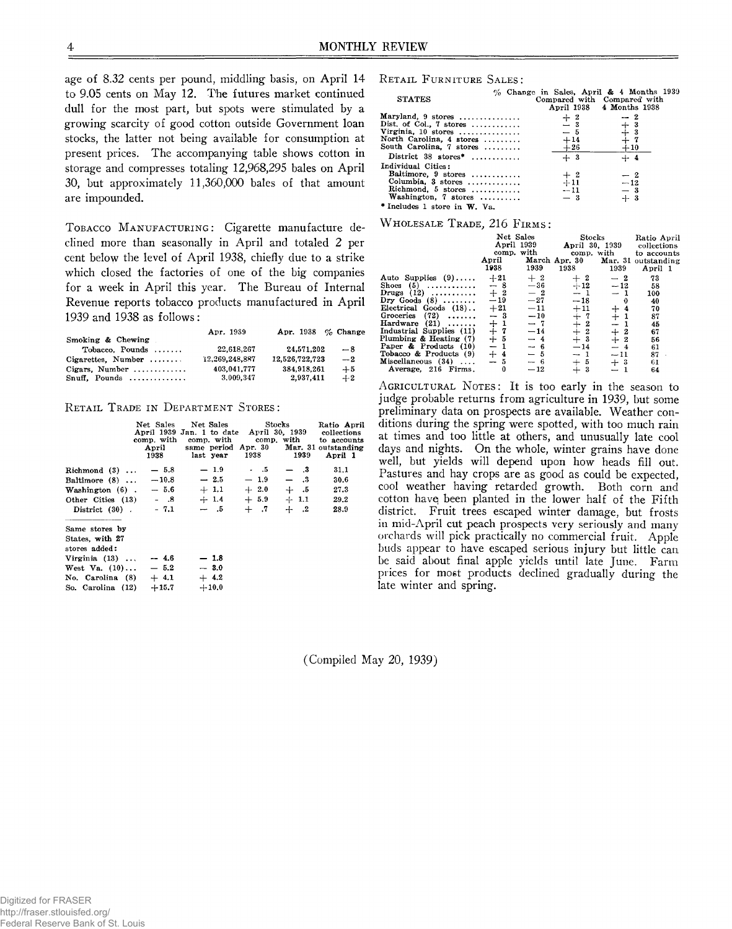age of 8.32 cents per pound, middling basis, on April 14 to 9.05 cents on May 12. The futures market continued dull for the most part, but spots were stimulated by a growing scarcity of good cotton outside Government loan stocks, the latter not being available for consumption at present prices. The accompanying table shows cotton in storage and compresses totaling 12,968,295 bales on April 30, but approximately 11,360,000 bales of that amount are impounded.

TOBACCO MANUFACTURING: Cigarette manufacture declined more than seasonally in April and totaled 2 per cent below the level of April 1938, chiefly due to a strike which closed the factories of one of the big companies for a week in April this year. The Bureau of Internal Revenue reports tobacco products manufactured in April 1939 and 1938 as follows:

|                             | Apr. 1939      | Apr. 1938 $\%$ Change |      |
|-----------------------------|----------------|-----------------------|------|
| Smoking & Chewing           |                |                       |      |
| $Tobacco.$ Pounds $\ldots$  | 22.618.267     | 24.571.202            | $-8$ |
| Cigarettes, Number $\ldots$ | 12,269,248,887 | 12,526,722,723        | $-2$ |
| Cigars, Number              | 403,041,777    | 384,918,261           | $+5$ |
| $Snuff.$ Pounds             | 3.009.347      | 2,937,411             | $+2$ |

### **RETAIL TRADE IN DEPARTMENT STORES:**

|                          | April<br>1938 | Net Sales Net Sales<br>April 1939 Jan. 1 to date April 30, 1939<br>comp. with comp. with comp. with to accounts<br>same period Apr. 30 Mar. 31 outstanding<br>last year 1938 | Stocks | 1939   | Ratio April<br>collections<br>April 1 |
|--------------------------|---------------|------------------------------------------------------------------------------------------------------------------------------------------------------------------------------|--------|--------|---------------------------------------|
| Richmond $(3)$           | $-5.8$        | $-1.9$                                                                                                                                                                       | $-5$   | — 3    | 31.1                                  |
| Baltimore $(8)$          | $-10.8$       | $-2.5$                                                                                                                                                                       | $-1.9$ | $-3$   | 30.6                                  |
| Washington $(6)$ .       | $-5.6$        | $+1.1 + 2.0$                                                                                                                                                                 |        | $+.5$  | 27.3                                  |
| Other Cities $(13)$ - .8 |               | $+1.4 + 5.9$                                                                                                                                                                 |        | $+1.1$ | 29.2                                  |
| District $(30)$ $- 7.1$  |               | $-5$                                                                                                                                                                         | $+$ .7 | $+$ .2 | 28.9                                  |
| Same stores by           |               |                                                                                                                                                                              |        |        |                                       |
| States, with 27          |               |                                                                                                                                                                              |        |        |                                       |
| stores added:            |               |                                                                                                                                                                              |        |        |                                       |
| Virginia $(13)$          | $-4.6$        | $-1.8$                                                                                                                                                                       |        |        |                                       |
| West Va. $(10) \ldots$   | $-5.2$        | $-3.0$                                                                                                                                                                       |        |        |                                       |
| No. Carolina (8)         | $+4.1$        | $+4.2$                                                                                                                                                                       |        |        |                                       |
| So. Carolina (12)        | $+15.7$       | $+10.0$                                                                                                                                                                      |        |        |                                       |
|                          |               |                                                                                                                                                                              |        |        |                                       |

# $R$  **etail FURNITURE SALES:**

| <b>STATES</b>                    |       | % Change in Sales, April & 4 Months 1939<br>Compared with Compared with<br>April 1938 4 Months 1938 |  |
|----------------------------------|-------|-----------------------------------------------------------------------------------------------------|--|
| Maryland, $9$ stores             | $+2$  | $-2$                                                                                                |  |
| Dist. of Col., 7 stores          | $-3$  | $+3$<br>$+3$<br>$+7$                                                                                |  |
| Virginia, $10$ stores            | $-5$  |                                                                                                     |  |
| North Carolina, 4 stores         | $+14$ |                                                                                                     |  |
| South Carolina, 7 stores         | $+26$ | $+10$                                                                                               |  |
| District $38 \text{ stores}^*$ , | $+3$  | $+ 4$                                                                                               |  |
| Individual Cities:               |       |                                                                                                     |  |
| Baltimore, 9 stores              | $+2$  | $-2$                                                                                                |  |
| Columbia, $3$ stores             | $+11$ | $-12$                                                                                               |  |
| Richmond, $5$ stores             | $-11$ | $-3$                                                                                                |  |
| Washington, 7 stores             | $-3$  | $+3$                                                                                                |  |
| * Includes 1 store in W. Va.     |       |                                                                                                     |  |

WHOLESALE TRADE, 216 FIRMS:

|                          | April<br>1938  | Net Sales<br>April 1939<br>comp, with<br>1939 | Stocks<br>1938         | 1939                     | Ratio April<br>April 30, 1939 collections<br>comp. with to accounts<br>March Apr. 30 Mar. 31 outstanding<br>April 1 |
|--------------------------|----------------|-----------------------------------------------|------------------------|--------------------------|---------------------------------------------------------------------------------------------------------------------|
| Auto Supplies $(9)$      | $+21$          | $+2$                                          | $+2$                   | $-2$                     | 73                                                                                                                  |
| Shoes $(5)$              | $-8$           | $-36$                                         | $+12$                  | $-12$                    | 58                                                                                                                  |
| Drugs $(12)$             | $+2$           | $-2$                                          | $-1$                   | $-1$                     | 100                                                                                                                 |
| Dry Goods $(8)$          | $-19$          | $-27$                                         | $-18$                  | 0                        | 40                                                                                                                  |
| Electrical Goods (18)    | $+21$          | $-11$                                         | $+11$                  | $+4$                     | 70                                                                                                                  |
| Groceries $(72)$         | $-3$           | $-10$                                         |                        | $\mathbf{1}$<br>$^{+}$   | 87                                                                                                                  |
| Hardware $(21)$          |                | $-7$                                          |                        | $\overline{\phantom{m}}$ | 45                                                                                                                  |
| Industrial Supplies (11) |                | $-14$                                         |                        | $+$<br>-2                | 67                                                                                                                  |
| Plumbing & Heating (7)   | $7 + 7$<br>+ 5 | $-4$                                          | $+72$<br>$+22$<br>$+3$ | $\mathbf{2}$<br>$+$      | 56                                                                                                                  |
| Paper & Products (10)    | $-1$           | $-6$                                          | $-14$                  | $-4$                     | 61                                                                                                                  |
| Tobacco & Products (9)   | $+4$           | - 5                                           | $-1$                   | $-11$                    | 87                                                                                                                  |
| Miscellaneous $(34)$     | $-5$           | $-6$                                          | $+5$                   | $+3$                     | 61                                                                                                                  |
| Average, 216 Firms.      | 0              | $-12$                                         | $+3$                   |                          | 64                                                                                                                  |

AGRICULTURAL NOTES: It is too early in the season to judge probable returns from agriculture in 1939, but some preliminary data on prospects are available. Weather conditions during the spring were spotted, with too much rain at times and too little at others, and unusually late cool days and nights. On the whole, winter grains have done well, but yields will depend upon how heads fill out. Pastures and hay crops are as good as could be expected, cool weather having retarded growth. Both corn and cotton have; been planted in the lower half of the Fifth district. Fruit trees escaped winter damage, but frosts in mid-April cut peach prospects very seriously and many orchards will pick practically no commercial fruit. Apple buds appear to have escaped serious injury but little can be said about final apple yields until late June. Farm prices for most products declined gradually during the late winter and spring.

(Compiled May 20, 1939)